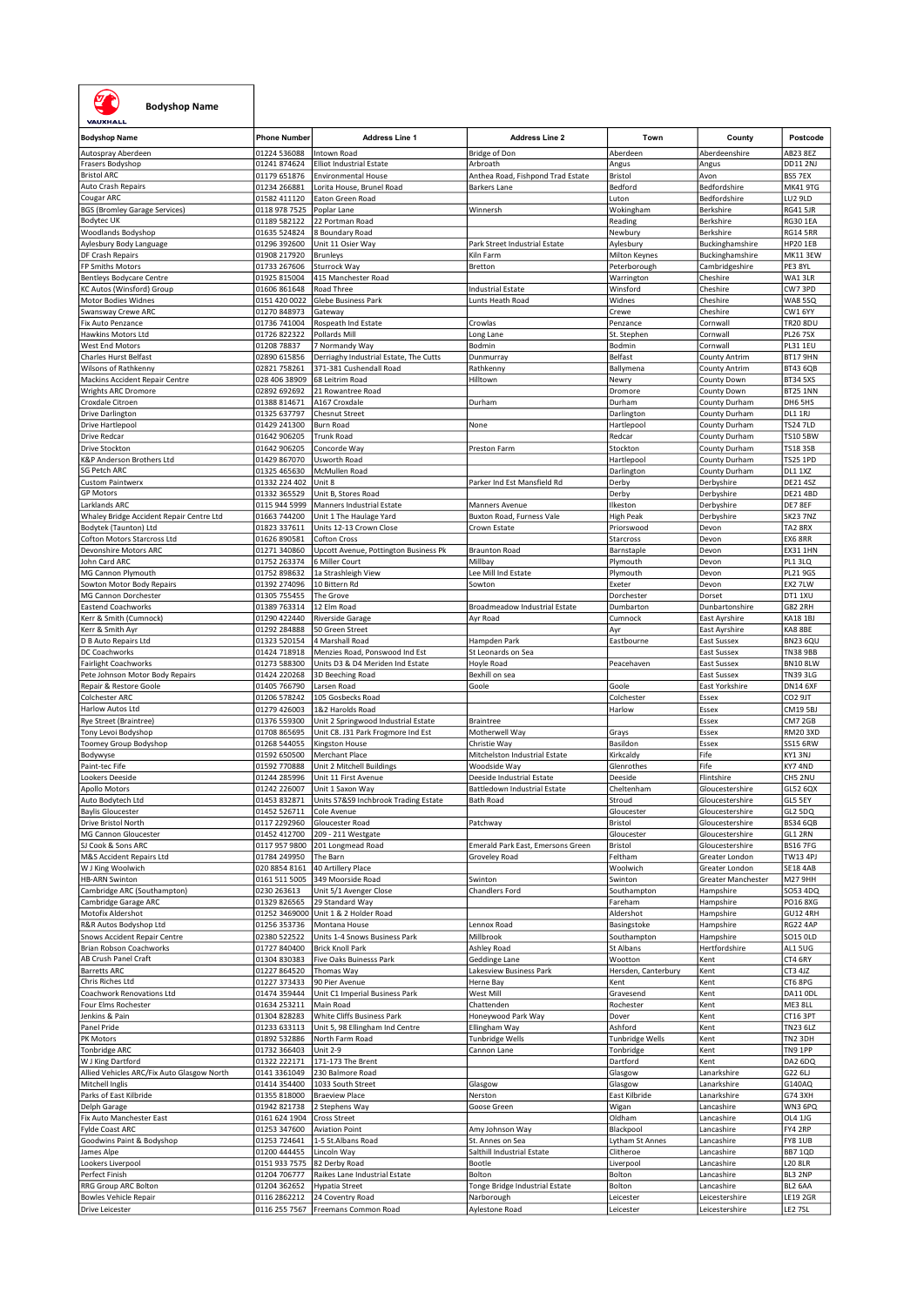

## Bodyshop Name

| <b>Bodyshop Name</b>                            | <b>Phone Number</b>           | <b>Address Line 1</b>                    | <b>Address Line 2</b>             | Town                   | County                           | Postcode                   |
|-------------------------------------------------|-------------------------------|------------------------------------------|-----------------------------------|------------------------|----------------------------------|----------------------------|
|                                                 |                               |                                          |                                   |                        |                                  |                            |
| Autospray Aberdeen                              | 01224 536088                  | Intown Road                              | Bridge of Don                     | Aberdeen               | Aberdeenshire                    | AB23 8EZ                   |
| Frasers Bodyshop                                | 01241 874624                  | <b>Elliot Industrial Estate</b>          | Arbroath                          | Angus                  | Angus                            | DD11 2NJ                   |
| <b>Bristol ARC</b>                              | 01179 651876                  |                                          |                                   | Bristol                | Avon                             | BS5 7EX                    |
|                                                 |                               | <b>Environmental House</b>               | Anthea Road, Fishpond Trad Estate |                        |                                  |                            |
| Auto Crash Repairs                              | 01234 266881                  | Lorita House, Brunel Road                | Barkers Lane                      | Bedford                | Bedfordshire                     | <b>MK41 9TG</b>            |
| Cougar ARC                                      | 01582 411120                  | Eaton Green Road                         |                                   | Luton                  | Bedfordshire                     | LU2 9LD                    |
| <b>BGS (Bromley Garage Services)</b>            | 0118 978 7525                 | Poplar Lane                              | Winnersh                          | Wokingham              | Berkshire                        | RG41 5JR                   |
|                                                 |                               |                                          |                                   |                        |                                  |                            |
| Bodytec UK                                      | 01189 582122                  | 22 Portman Road                          |                                   | Reading                | Berkshire                        | <b>RG30 1EA</b>            |
| Woodlands Bodyshop                              | 01635 524824                  | 8 Boundary Road                          |                                   | Newbury                | Berkshire                        | <b>RG14 5RR</b>            |
| Aylesbury Body Language                         | 01296 392600                  | Unit 11 Osier Way                        | Park Street Industrial Estate     | Aylesbury              | Buckinghamshire                  | <b>HP20 1EB</b>            |
|                                                 |                               |                                          |                                   |                        |                                  |                            |
| DF Crash Repairs                                | 01908 217920                  | <b>Brunleys</b>                          | Kiln Farm                         | Milton Keynes          | Buckinghamshire                  | MK11 3EW                   |
| FP Smiths Motors                                | 01733 267606                  | Sturrock Way                             | Bretton                           | Peterborough           | Cambridgeshire                   | PE3 8YL                    |
| <b>Bentleys Bodycare Centre</b>                 | 01925 815004                  | 415 Manchester Road                      |                                   | Warrington             | Cheshire                         | WA1 3LR                    |
| KC Autos (Winsford) Group                       | 01606 861648                  | Road Three                               | <b>Industrial Estate</b>          | Winsford               | Cheshire                         | CW73PD                     |
|                                                 |                               |                                          |                                   |                        |                                  |                            |
| Motor Bodies Widnes                             | 0151 420 0022                 | Glebe Business Park                      | Lunts Heath Road                  | Widnes                 | Cheshire                         | <b>WA85SQ</b>              |
| Swansway Crewe ARC                              | 01270 848973                  | Gateway                                  |                                   | Crewe                  | Cheshire                         | CW1 6YY                    |
| Fix Auto Penzance                               | 01736 741004                  | Rospeath Ind Estate                      | Crowlas                           | Penzance               | Cornwall                         | <b>TR20 8DU</b>            |
| Hawkins Motors Ltd                              | 01726 822322                  | Pollards Mill                            | Long Lane                         | St. Stephen            | Cornwall                         | <b>PL26 7SX</b>            |
|                                                 |                               |                                          |                                   |                        |                                  |                            |
| West End Motors                                 | 01208 78837                   | 7 Normandy Way                           | Bodmin                            | Bodmin                 | Cornwall                         | PL31 1EU                   |
| Charles Hurst Belfast                           | 02890 615856                  | Derriaghy Industrial Estate, The Cutts   | Dunmurray                         | Belfast                | <b>County Antrim</b>             | <b>BT17 9HN</b>            |
| Wilsons of Rathkenny                            | 02821 758261                  | 371-381 Cushendall Road                  | Rathkenny                         | Ballymena              | <b>County Antrim</b>             | <b>BT43 6QB</b>            |
|                                                 |                               |                                          |                                   |                        |                                  |                            |
| Mackins Accident Repair Centre                  | 028 406 38909                 | 68 Leitrim Road                          | Hilltown                          | Newry                  | County Down                      | <b>BT34 5XS</b>            |
| Wrights ARC Dromore                             | 02892 692692                  | 21 Rowantree Road                        |                                   | Dromore                | County Down                      | <b>BT25 1NN</b>            |
| Croxdale Citroen                                | 01388 814671                  | A167 Croxdale                            | Durham                            | Durham                 | County Durham                    | DH6 5HS                    |
|                                                 |                               |                                          |                                   |                        |                                  |                            |
| Drive Darlington                                | 01325 637797                  | <b>Chesnut Street</b>                    |                                   | Darlington             | County Durham                    | DL1 1RJ                    |
| Drive Hartlepool                                | 01429 241300                  | Burn Road                                | None                              | Hartlepool             | County Durham                    | <b>TS24 7LD</b>            |
| Drive Redcar                                    | 01642 906205                  | <b>Trunk Road</b>                        |                                   | Redcar                 | County Durham                    | <b>TS10 5BW</b>            |
| Drive Stockton                                  | 01642 906205                  | Concorde Way                             | Preston Farm                      | Stockton               | County Durham                    | <b>TS183SB</b>             |
|                                                 |                               |                                          |                                   |                        |                                  |                            |
| K&P Anderson Brothers Ltd                       | 01429 867070                  | Usworth Road                             |                                   | Hartlepool             | County Durham                    | <b>TS25 1PD</b>            |
| <b>SG Petch ARC</b>                             | 01325 465630                  | McMullen Road                            |                                   | Darlington             | County Durham                    | <b>DL1 1XZ</b>             |
| <b>Custom Paintwerx</b>                         | 01332 224 402                 | Unit 8                                   | Parker Ind Est Mansfield Rd       | Derby                  | Derbyshire                       | <b>DE214SZ</b>             |
|                                                 |                               |                                          |                                   |                        |                                  |                            |
| <b>GP Motors</b>                                | 01332 365529                  | Unit B, Stores Road                      |                                   | Derby                  | Derbyshire                       | <b>DE21 4BD</b>            |
| Larklands ARC                                   | 0115 944 5999                 | Manners Industrial Estate                | Manners Avenue                    | Ilkeston               | Derbyshire                       | DE7 8EF                    |
| Whaley Bridge Accident Repair Centre Ltd        | 01663 744200                  | Unit 1 The Haulage Yard                  | Buxton Road, Furness Vale         | <b>High Peak</b>       | Derbyshire                       | <b>SK23 7NZ</b>            |
|                                                 |                               |                                          |                                   |                        |                                  |                            |
| Bodytek (Taunton) Ltd                           | 01823 337611                  | Units 12-13 Crown Close                  | Crown Estate                      | Priorswood             | Devon                            | TA2 8RX                    |
| Cofton Motors Starcross Ltd                     | 01626 890581                  | <b>Cofton Cross</b>                      |                                   | Starcross              | Devon                            | EX6 8RR                    |
| Devonshire Motors ARC                           | 01271 340860                  | Upcott Avenue, Pottington Business Pk    | <b>Braunton Road</b>              | Barnstaple             | Devon                            | <b>EX31 1HN</b>            |
| John Card ARC                                   | 01752 263374                  | 6 Miller Court                           | Millbay                           | Plymouth               |                                  | PL1 3LQ                    |
|                                                 |                               |                                          |                                   |                        | Devon                            |                            |
| MG Cannon Plymouth                              | 01752 898632                  | 1a Strashleigh View                      | Lee Mill Ind Estate               | Plymouth               | Devon                            | <b>PL21 9GS</b>            |
| Sowton Motor Body Repairs                       | 01392 274096                  | 10 Bittern Rd                            | Sowton                            | Exeter                 | Devon                            | EX2 7LW                    |
| MG Cannon Dorchester                            | 01305 755455                  | The Grove                                |                                   | Dorchester             | Dorset                           | DT1 1XU                    |
|                                                 |                               |                                          |                                   |                        |                                  |                            |
| <b>Eastend Coachworks</b>                       | 01389 763314                  | 12 Elm Road                              | Broadmeadow Industrial Estate     | Dumbarton              | Dunbartonshire                   | <b>G82 2RH</b>             |
| Kerr & Smith (Cumnock)                          | 01290 422440                  | Riverside Garage                         | Ayr Road                          | Cumnock                | East Ayrshire                    | <b>KA18 1BJ</b>            |
| Kerr & Smith Ayr                                | 01292 284888                  | 50 Green Street                          |                                   | Ayr                    |                                  | KA8 8BE                    |
|                                                 |                               |                                          |                                   |                        | East Ayrshire                    |                            |
| D B Auto Repairs Ltd                            | 01323 520154                  | 4 Marshall Road                          | Hampden Park                      | Eastbourne             | East Sussex                      | BN23 6QU                   |
| DC Coachworks                                   | 01424 718918                  | Menzies Road, Ponswood Ind Est           | St Leonards on Sea                |                        | East Sussex                      | <b>TN38 9BB</b>            |
| <b>Fairlight Coachworks</b>                     | 01273 588300                  | Units D3 & D4 Meriden Ind Estate         | Hoyle Road                        | Peacehaven             | East Sussex                      | BN10 8LW                   |
|                                                 |                               |                                          |                                   |                        |                                  |                            |
| Pete Johnson Motor Body Repairs                 | 01424 220268                  | 3D Beeching Road                         | Bexhill on sea                    |                        | East Sussex                      | <b>TN39 3LG</b>            |
|                                                 |                               |                                          |                                   | Goole                  |                                  |                            |
| Repair & Restore Goole                          | 01405 766790                  | Larsen Road                              | Goole                             |                        | East Yorkshire                   | DN14 6XF                   |
|                                                 |                               |                                          |                                   |                        |                                  |                            |
| Colchester ARC                                  | 01206 578242                  | 105 Gosbecks Road                        |                                   | Colchester             | Essex                            | CO <sub>2</sub> 9JT        |
| Harlow Autos Ltd                                | 01279 426003                  | 1&2 Harolds Road                         |                                   | Harlow                 | Essex                            | <b>CM19 5BJ</b>            |
| Rye Street (Braintree)                          | 01376 559300                  | Unit 2 Springwood Industrial Estate      | Braintree                         |                        | Essex                            | CM7 2GB                    |
| Tony Levoi Bodyshop                             | 01708 865695                  | Unit C8. J31 Park Frogmore Ind Est       | Motherwell Way                    |                        | Essex                            | <b>RM20 3XD</b>            |
|                                                 |                               |                                          |                                   | Grays                  |                                  |                            |
| Toomey Group Bodyshop                           | 01268 544055                  | Kingston House                           | Christie Way                      | Basildon               | Essex                            | <b>SS15 6RW</b>            |
| Bodywyse                                        | 01592 650500                  | Merchant Place                           | Mitchelston Industrial Estate     | Kirkcaldy              | Fife                             | KY13NJ                     |
|                                                 | 01592 770888                  |                                          | Woodside Way                      | Glenrothes             | Fife                             | KY7 4ND                    |
| Paint-tec Fife                                  |                               | Unit 2 Mitchell Buildings                |                                   |                        |                                  |                            |
| Lookers Deeside                                 | 01244 285996                  | Unit 11 First Avenue                     | Deeside Industrial Estate         | Deeside                | Flintshire                       | CH5 2NU                    |
| Apollo Motors                                   | 01242 226007                  | Unit 1 Saxon Way                         | Battledown Industrial Estate      | Cheltenham             | Gloucestershire                  | GL52 6QX                   |
| Auto Bodytech Ltd                               | 01453 832871                  | Units S7&S9 Inchbrook Trading Estate     | <b>Bath Road</b>                  | Stroud                 | Gloucestershire                  | GL5 5EY                    |
|                                                 | 01452 526711                  | Cole Avenue                              |                                   | Gloucester             | Gloucestershire                  | GL2 5DQ                    |
| <b>Baylis Gloucester</b>                        |                               |                                          |                                   |                        |                                  |                            |
| Drive Bristol North                             | 0117 2292960                  | Gloucester Road                          | Patchway                          | Bristol                | Gloucestershire                  | <b>BS34 6QB</b>            |
| MG Cannon Gloucester                            | 01452 412700                  | 209 - 211 Westgate                       |                                   | Gloucester             | Gloucestershire                  | GL1 2RN                    |
| SJ Cook & Sons ARC                              | 0117 957 9800                 | 201 Longmead Road                        | Emerald Park East, Emersons Green | Bristol                | Gloucestershire                  | <b>BS16 7FG</b>            |
|                                                 |                               |                                          |                                   |                        |                                  |                            |
| M&S Accident Repairs Ltd                        | 01784 249950                  | The Barn                                 | Groveley Road                     | Feltham                | Greater London                   | TW13 4PJ                   |
| W J King Woolwich                               | 020 8854 8161                 | 40 Artillery Place                       |                                   | Woolwich               | Greater London                   | <b>SE18 4AB</b>            |
| <b>HB-ARN Swinton</b>                           | 0161 511 5005                 | 349 Moorside Road                        | Swinton                           | Swinton                | Greater Manchester               | M27 9HH                    |
| Cambridge ARC (Southampton)                     | 0230 263613                   | Unit 5/1 Avenger Close                   | Chandlers Ford                    | Southampton            | Hampshire                        | SO53 4DQ                   |
|                                                 |                               |                                          |                                   |                        |                                  |                            |
| Cambridge Garage ARC                            | 01329 826565                  | 29 Standard Way                          |                                   | Fareham                | Hampshire                        | <b>PO16 8XG</b>            |
| Motofix Aldershot                               | 01252 3469000                 | Unit 1 & 2 Holder Road                   |                                   | Aldershot              | Hampshire                        | GU12 4RH                   |
| R&R Autos Bodyshop Ltd                          | 01256 353736                  | Montana House                            | Lennox Road                       | Basingstoke            | Hampshire                        | <b>RG22 4AP</b>            |
| Snows Accident Repair Centre                    | 02380 522522                  | Units 1-4 Snows Business Park            | Millbrook                         | Southampton            | Hampshire                        | SO15 OLD                   |
|                                                 |                               |                                          |                                   |                        |                                  |                            |
| Brian Robson Coachworks                         | 01727 840400                  | <b>Brick Knoll Park</b>                  | Ashley Road                       | St Albans              | Hertfordshire                    | AL15UG                     |
| AB Crush Panel Craft                            | 01304 830383                  | Five Oaks Buinesss Park                  | Geddinge Lane                     | Wootton                | Kent                             | CT4 6RY                    |
| <b>Barretts ARC</b>                             | 01227 864520                  | Thomas Way                               | Lakesview Business Park           | Hersden, Canterbury    | Kent                             | CT3 4JZ                    |
|                                                 |                               |                                          |                                   |                        |                                  |                            |
| Chris Riches Ltd                                | 01227 373433                  | 90 Pier Avenue                           | Herne Bay                         | Kent                   | Kent                             | CT6 8PG                    |
| Coachwork Renovations Ltd                       | 01474 359444                  | Unit C1 Imperial Business Park           | West Mill                         | Gravesend              | Kent                             | DA11 ODL                   |
| Four Elms Rochester                             | 01634 253211                  | Main Road                                | Chattenden                        | Rochester              | Kent                             | ME3 8LL                    |
|                                                 |                               |                                          |                                   |                        |                                  |                            |
| Jenkins & Pain                                  | 01304 828283                  | White Cliffs Business Park               | Honeywood Park Way                | Dover                  | Kent                             | CT16 3PT                   |
| Panel Pride                                     | 01233 633113                  | Unit 5, 98 Ellingham Ind Centre          | Ellingham Way                     | Ashford                | Kent                             | <b>TN23 6LZ</b>            |
| PK Motors                                       | 01892 532886                  | North Farm Road                          | <b>Tunbridge Wells</b>            | Tunbridge Wells        | Kent                             | TN2 3DH                    |
|                                                 |                               |                                          |                                   |                        |                                  |                            |
| Tonbridge ARC                                   | 01732 366403                  | <b>Unit 2-9</b>                          | Cannon Lane                       | Tonbridge              | Kent                             | TN9 1PP                    |
| W J King Dartford                               | 01322 222171                  | 171-173 The Brent                        |                                   | Dartford               | Kent                             | DA2 6DQ                    |
| Allied Vehicles ARC/Fix Auto Glasgow North      | 0141 3361049                  | 230 Balmore Road                         |                                   | Glasgow                | Lanarkshire                      | G22 6LJ                    |
| Mitchell Inglis                                 | 01414 354400                  | 1033 South Street                        |                                   |                        | Lanarkshire                      |                            |
|                                                 |                               |                                          | Glasgow                           | Glasgow                |                                  | G140AQ                     |
| Parks of East Kilbride                          | 01355 818000                  | <b>Braeview Place</b>                    | Nerston                           | East Kilbride          | Lanarkshire                      | G74 3XH                    |
| Delph Garage                                    | 01942 821738                  | 2 Stephens Way                           | Goose Green                       | Wigan                  | Lancashire                       | WN3 6PQ                    |
|                                                 |                               |                                          |                                   |                        |                                  |                            |
| Fix Auto Manchester East                        | 0161 624 1904                 | Cross Street                             |                                   | Oldham                 | Lancashire                       | OL4 1JG                    |
| Fylde Coast ARC                                 | 01253 347600                  | <b>Aviation Point</b>                    | Amy Johnson Way                   | Blackpool              | Lancashire                       | FY4 2RP                    |
| Goodwins Paint & Bodyshop                       | 01253 724641                  | 1-5 St.Albans Road                       | St. Annes on Sea                  | Lytham St Annes        | Lancashire                       | FY8 1UB                    |
| James Alpe                                      | 01200 444455                  | Lincoln Way                              | Salthill Industrial Estate        | Clitheroe              | Lancashire                       | <b>BB7 1QD</b>             |
|                                                 |                               |                                          |                                   |                        |                                  |                            |
| Lookers Liverpool                               | 0151 933 7575                 | 82 Derby Road                            | Bootle                            | Liverpool              | Lancashire                       | <b>L20 8LR</b>             |
| Perfect Finish                                  | 01204 706777                  | Raikes Lane Industrial Estate            | Bolton                            | Bolton                 | Lancashire                       | BL3 2NP                    |
| RRG Group ARC Bolton                            | 01204 362652                  | <b>Hypatia Street</b>                    | Tonge Bridge Industrial Estate    | Bolton                 | Lancashire                       | BL2 6AA                    |
|                                                 |                               |                                          |                                   |                        |                                  |                            |
| <b>Bowles Vehicle Repair</b><br>Drive Leicester | 0116 2862212<br>0116 255 7567 | 24 Coventry Road<br>Freemans Common Road | Narborough<br>Aylestone Road      | Leicester<br>Leicester | Leicestershire<br>Leicestershire | <b>LE19 2GR</b><br>LE2 7SL |